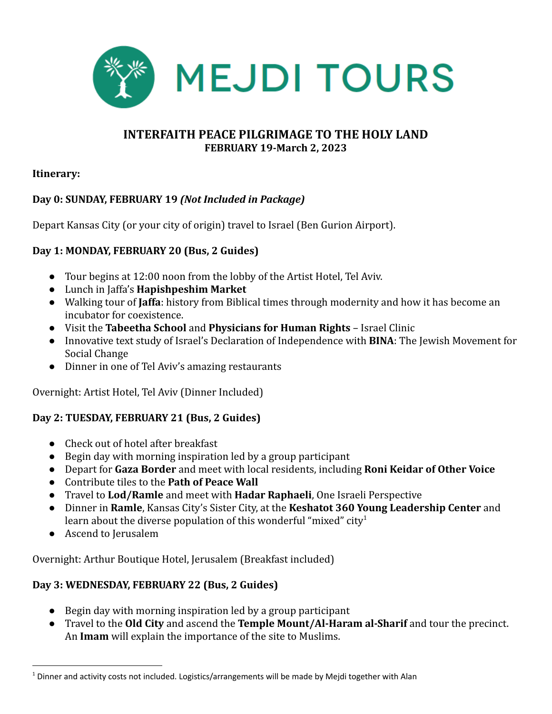

### **INTERFAITH PEACE PILGRIMAGE TO THE HOLY LAND FEBRUARY 19-March 2, 2023**

#### **Itinerary:**

#### **Day 0: SUNDAY, FEBRUARY 19** *(Not Included in Package)*

Depart Kansas City (or your city of origin) travel to Israel (Ben Gurion Airport).

#### **Day 1: MONDAY, FEBRUARY 20 (Bus, 2 Guides)**

- Tour begins at 12:00 noon from the lobby of the Artist Hotel, Tel Aviv.
- Lunch in Jaffa's **Hapishpeshim Market**
- Walking tour of **Jaffa**: history from Biblical times through modernity and how it has become an incubator for coexistence.
- Visit the **Tabeetha School** and **Physicians for Human Rights** Israel Clinic
- Innovative text study of Israel's Declaration of Independence with **BINA**: The Jewish Movement for Social Change
- Dinner in one of Tel Aviv's amazing restaurants

Overnight: Artist Hotel, Tel Aviv (Dinner Included)

#### **Day 2: TUESDAY, FEBRUARY 21 (Bus, 2 Guides)**

- Check out of hotel after breakfast
- Begin day with morning inspiration led by a group participant
- Depart for **Gaza Border** and meet with local residents, including **Roni Keidar of Other Voice**
- Contribute tiles to the **Path of Peace Wall**
- Travel to **Lod/Ramle** and meet with **Hadar Raphaeli**, One Israeli Perspective
- Dinner in **Ramle**, Kansas City's Sister City, at the **Keshatot 360 Young Leadership Center** and learn about the diverse population of this wonderful "mixed" city<sup>1</sup>
- Ascend to Jerusalem

Overnight: Arthur Boutique Hotel, Jerusalem (Breakfast included)

#### **Day 3: WEDNESDAY, FEBRUARY 22 (Bus, 2 Guides)**

- Begin day with morning inspiration led by a group participant
- Travel to the **Old City** and ascend the **Temple Mount/Al-Haram al-Sharif** and tour the precinct. An **Imam** will explain the importance of the site to Muslims.

 $<sup>1</sup>$  Dinner and activity costs not included. Logistics/arrangements will be made by Mejdi together with Alan</sup>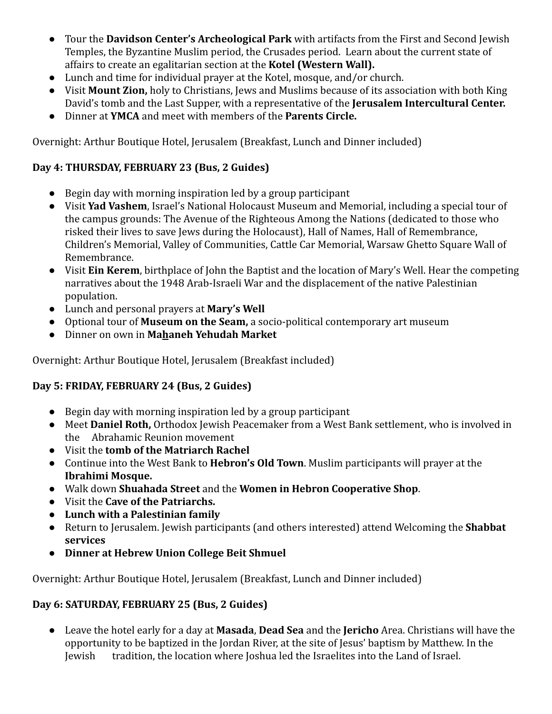- Tour the **Davidson Center's Archeological Park** with artifacts from the First and Second Jewish Temples, the Byzantine Muslim period, the Crusades period. Learn about the current state of affairs to create an egalitarian section at the **Kotel (Western Wall).**
- Lunch and time for individual prayer at the Kotel, mosque, and/or church.
- Visit **Mount Zion,** holy to Christians, Jews and Muslims because of its association with both King David's tomb and the Last Supper, with a representative of the **Jerusalem Intercultural Center.**
- Dinner at **YMCA** and meet with members of the **Parents Circle.**

Overnight: Arthur Boutique Hotel, Jerusalem (Breakfast, Lunch and Dinner included)

# **Day 4: THURSDAY, FEBRUARY 23 (Bus, 2 Guides)**

- Begin day with morning inspiration led by a group participant
- Visit **Yad Vashem**, Israel's National Holocaust Museum and Memorial, including a special tour of the campus grounds: The Avenue of the Righteous Among the Nations (dedicated to those who risked their lives to save Jews during the Holocaust), Hall of Names, Hall of Remembrance, Children's Memorial, Valley of Communities, Cattle Car Memorial, Warsaw Ghetto Square Wall of Remembrance.
- Visit **Ein Kerem**, birthplace of John the Baptist and the location of Mary's Well. Hear the competing narratives about the 1948 Arab-Israeli War and the displacement of the native Palestinian population.
- Lunch and personal prayers at **Mary's Well**
- Optional tour of **Museum on the Seam,** a socio-political contemporary art museum
- Dinner on own in **Mahaneh Yehudah Market**

Overnight: Arthur Boutique Hotel, Jerusalem (Breakfast included)

# **Day 5: FRIDAY, FEBRUARY 24 (Bus, 2 Guides)**

- Begin day with morning inspiration led by a group participant
- Meet **Daniel Roth,** Orthodox Jewish Peacemaker from a West Bank settlement, who is involved in the Abrahamic Reunion movement
- Visit the **tomb of the Matriarch Rachel**
- Continue into the West Bank to **Hebron's Old Town**. Muslim participants will prayer at the **Ibrahimi Mosque.**
- Walk down **Shuahada Street** and the **Women in Hebron Cooperative Shop**.
- Visit the **Cave of the Patriarchs.**
- **Lunch with a Palestinian family**
- Return to Jerusalem. Jewish participants (and others interested) attend Welcoming the **Shabbat services**
- **Dinner at Hebrew Union College Beit Shmuel**

Overnight: Arthur Boutique Hotel, Jerusalem (Breakfast, Lunch and Dinner included)

# **Day 6: SATURDAY, FEBRUARY 25 (Bus, 2 Guides)**

● Leave the hotel early for a day at **Masada**, **Dead Sea** and the **Jericho** Area. Christians will have the opportunity to be baptized in the Jordan River, at the site of Jesus' baptism by Matthew. In the Jewish tradition, the location where Joshua led the Israelites into the Land of Israel.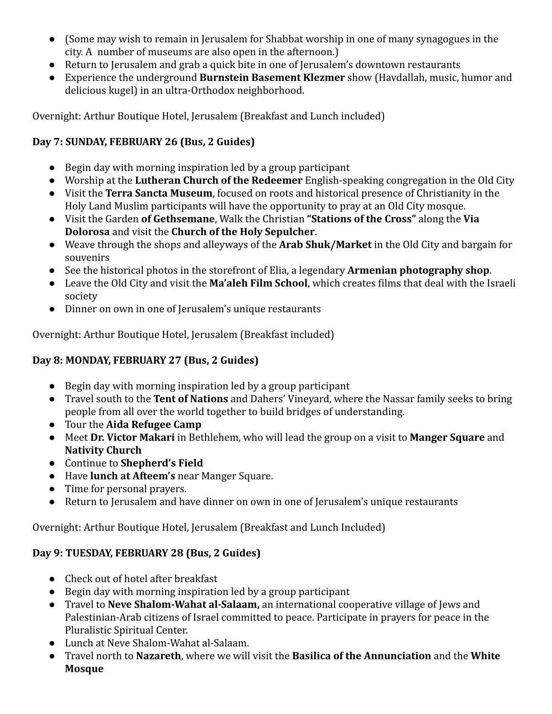- (Some may wish to remain in Jerusalem for Shabbat worship in one of many synagogues in the city. A number of museums are also open in the afternoon.)
- Return to Jerusalem and grab a quick bite in one of Jerusalem's downtown restaurants
- Experience the underground **Burnstein Basement Klezmer** show (Havdallah, music, humor and delicious kugel) in an ultra-Orthodox neighborhood.

Overnight: Arthur Boutique Hotel, Jerusalem (Breakfast and Lunch included)

# **Day 7: SUNDAY, FEBRUARY 26 (Bus, 2 Guides)**

- Begin day with morning inspiration led by a group participant
- Worship at the **Lutheran Church of the Redeemer** English-speaking congregation in the Old City
- Visit the **Terra Sancta Museum**, focused on roots and historical presence of Christianity in the Holy Land Muslim participants will have the opportunity to pray at an Old City mosque.
- Visit the Garden **of Gethsemane**, Walk the Christian **"Stations of the Cross"** along the **Via Dolorosa** and visit the **Church of the Holy Sepulcher**.
- Weave through the shops and alleyways of the **Arab Shuk/Market** in the Old City and bargain for souvenirs
- See the historical photos in the storefront of Elia, a legendary **Armenian photography shop**.
- Leave the Old City and visit the **Ma'aleh Film School**, which creates films that deal with the Israeli society
- Dinner on own in one of Jerusalem's unique restaurants

Overnight: Arthur Boutique Hotel, Jerusalem (Breakfast included)

# **Day 8: MONDAY, FEBRUARY 27 (Bus, 2 Guides)**

- Begin day with morning inspiration led by a group participant
- Travel south to the **Tent of Nations** and Dahers' Vineyard, where the Nassar family seeks to bring people from all over the world together to build bridges of understanding.
- Tour the **Aida Refugee Camp**
- Meet **Dr. Victor Makari** in Bethlehem, who will lead the group on a visit to **Manger Square** and **Nativity Church**
- Continue to **Shepherd's Field**
- Have **lunch at Afteem's** near Manger Square.
- Time for personal prayers.
- Return to Jerusalem and have dinner on own in one of Jerusalem's unique restaurants

Overnight: Arthur Boutique Hotel, Jerusalem (Breakfast and Lunch Included)

# **Day 9: TUESDAY, FEBRUARY 28 (Bus, 2 Guides)**

- Check out of hotel after breakfast
- Begin day with morning inspiration led by a group participant
- Travel to **Neve Shalom-Wahat al-Salaam,** an international cooperative village of Jews and Palestinian-Arab citizens of Israel committed to peace. Participate in prayers for peace in the Pluralistic Spiritual Center.
- Lunch at Neve Shalom-Wahat al-Salaam.
- Travel north to **Nazareth**, where we will visit the **Basilica of the Annunciation** and the **White Mosque**